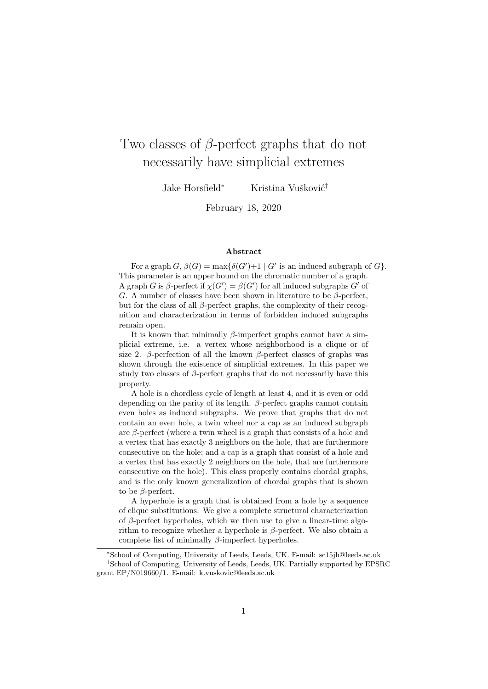# Two classes of  $\beta$ -perfect graphs that do not necessarily have simplicial extremes

Jake Horsfield<sup>∗</sup> Kristina Vušković<sup>†</sup>

February 18, 2020

#### Abstract

For a graph  $G, \beta(G) = \max{\delta(G')+1 \mid G' \text{ is an induced subgraph of } G}$ . This parameter is an upper bound on the chromatic number of a graph. A graph G is  $\beta$ -perfect if  $\chi(G') = \beta(G')$  for all induced subgraphs G' of G. A number of classes have been shown in literature to be  $\beta$ -perfect, but for the class of all  $\beta$ -perfect graphs, the complexity of their recognition and characterization in terms of forbidden induced subgraphs remain open.

It is known that minimally  $\beta$ -imperfect graphs cannot have a simplicial extreme, i.e. a vertex whose neighborhood is a clique or of size 2. β-perfection of all the known β-perfect classes of graphs was shown through the existence of simplicial extremes. In this paper we study two classes of  $\beta$ -perfect graphs that do not necessarily have this property.

A hole is a chordless cycle of length at least 4, and it is even or odd depending on the parity of its length.  $\beta$ -perfect graphs cannot contain even holes as induced subgraphs. We prove that graphs that do not contain an even hole, a twin wheel nor a cap as an induced subgraph are  $\beta$ -perfect (where a twin wheel is a graph that consists of a hole and a vertex that has exactly 3 neighbors on the hole, that are furthermore consecutive on the hole; and a cap is a graph that consist of a hole and a vertex that has exactly 2 neighbors on the hole, that are furthermore consecutive on the hole). This class properly contains chordal graphs, and is the only known generalization of chordal graphs that is shown to be β-perfect.

A hyperhole is a graph that is obtained from a hole by a sequence of clique substitutions. We give a complete structural characterization of  $\beta$ -perfect hyperholes, which we then use to give a linear-time algorithm to recognize whether a hyperhole is  $\beta$ -perfect. We also obtain a complete list of minimally  $\beta$ -imperfect hyperholes.

<sup>∗</sup>School of Computing, University of Leeds, Leeds, UK. E-mail: sc15jh@leeds.ac.uk †School of Computing, University of Leeds, Leeds, UK. Partially supported by EPSRC grant EP/N019660/1. E-mail: k.vuskovic@leeds.ac.uk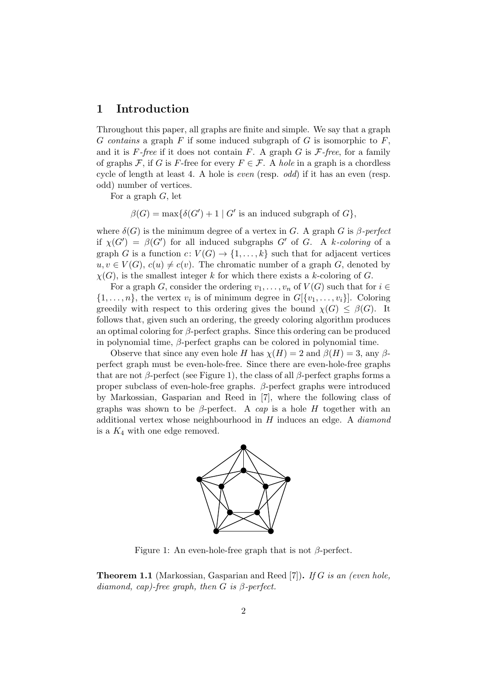## 1 Introduction

Throughout this paper, all graphs are finite and simple. We say that a graph G contains a graph  $F$  if some induced subgraph of  $G$  is isomorphic to  $F$ , and it is  $F$ -free if it does not contain F. A graph G is  $\mathcal{F}$ -free, for a family of graphs F, if G is F-free for every  $F \in \mathcal{F}$ . A hole in a graph is a chordless cycle of length at least 4. A hole is even (resp. odd) if it has an even (resp. odd) number of vertices.

For a graph  $G$ , let

 $\beta(G) = \max\{\delta(G') + 1 \mid G' \text{ is an induced subgraph of } G\},\$ 

where  $\delta(G)$  is the minimum degree of a vertex in G. A graph G is  $\beta$ -perfect if  $\chi(G') = \beta(G')$  for all induced subgraphs G' of G. A k-coloring of a graph G is a function  $c: V(G) \to \{1, ..., k\}$  such that for adjacent vertices  $u, v \in V(G), c(u) \neq c(v)$ . The chromatic number of a graph G, denoted by  $\chi(G)$ , is the smallest integer k for which there exists a k-coloring of G.

For a graph G, consider the ordering  $v_1, \ldots, v_n$  of  $V(G)$  such that for  $i \in$  $\{1,\ldots,n\}$ , the vertex  $v_i$  is of minimum degree in  $G[\{v_1,\ldots,v_i\}]$ . Coloring greedily with respect to this ordering gives the bound  $\chi(G) \leq \beta(G)$ . It follows that, given such an ordering, the greedy coloring algorithm produces an optimal coloring for  $\beta$ -perfect graphs. Since this ordering can be produced in polynomial time,  $\beta$ -perfect graphs can be colored in polynomial time.

Observe that since any even hole H has  $\chi(H) = 2$  and  $\beta(H) = 3$ , any  $\beta$ perfect graph must be even-hole-free. Since there are even-hole-free graphs that are not  $\beta$ -perfect (see Figure 1), the class of all  $\beta$ -perfect graphs forms a proper subclass of even-hole-free graphs. β-perfect graphs were introduced by Markossian, Gasparian and Reed in [7], where the following class of graphs was shown to be  $\beta$ -perfect. A cap is a hole H together with an additional vertex whose neighbourhood in H induces an edge. A diamond is a  $K_4$  with one edge removed.



Figure 1: An even-hole-free graph that is not  $\beta$ -perfect.

**Theorem 1.1** (Markossian, Gasparian and Reed [7]). If G is an (even hole, diamond, cap)-free graph, then  $G$  is  $\beta$ -perfect.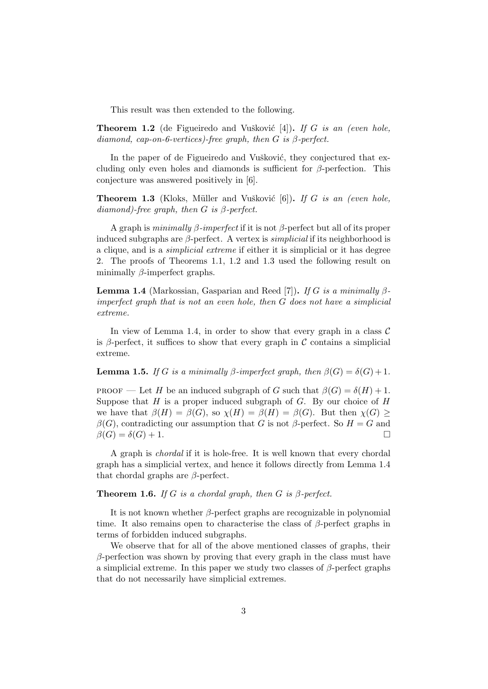This result was then extended to the following.

**Theorem 1.2** (de Figueiredo and Vušković [4]). If G is an (even hole, diamond, cap-on-6-vertices)-free graph, then  $G$  is  $\beta$ -perfect.

In the paper of de Figueiredo and Vušković, they conjectured that excluding only even holes and diamonds is sufficient for  $\beta$ -perfection. This conjecture was answered positively in [6].

**Theorem 1.3** (Kloks, Müller and Vušković  $[6]$ ). If G is an (even hole,  $diamond$ )-free graph, then G is  $\beta$ -perfect.

A graph is minimally  $\beta$ -imperfect if it is not  $\beta$ -perfect but all of its proper induced subgraphs are  $\beta$ -perfect. A vertex is *simplicial* if its neighborhood is a clique, and is a simplicial extreme if either it is simplicial or it has degree 2. The proofs of Theorems 1.1, 1.2 and 1.3 used the following result on minimally  $\beta$ -imperfect graphs.

**Lemma 1.4** (Markossian, Gasparian and Reed [7]). If G is a minimally  $\beta$ imperfect graph that is not an even hole, then G does not have a simplicial extreme.

In view of Lemma 1.4, in order to show that every graph in a class  $\mathcal C$ is β-perfect, it suffices to show that every graph in  $\mathcal C$  contains a simplicial extreme.

**Lemma 1.5.** If G is a minimally β-imperfect graph, then  $\beta(G) = \delta(G) + 1$ .

PROOF — Let H be an induced subgraph of G such that  $\beta(G) = \delta(H) + 1$ . Suppose that  $H$  is a proper induced subgraph of  $G$ . By our choice of  $H$ we have that  $\beta(H) = \beta(G)$ , so  $\chi(H) = \beta(H) = \beta(G)$ . But then  $\chi(G) \ge$  $\beta(G)$ , contradicting our assumption that G is not  $\beta$ -perfect. So  $H = G$  and  $\beta(G) = \delta(G) + 1.$ 

A graph is chordal if it is hole-free. It is well known that every chordal graph has a simplicial vertex, and hence it follows directly from Lemma 1.4 that chordal graphs are  $\beta$ -perfect.

**Theorem 1.6.** If G is a chordal graph, then G is  $\beta$ -perfect.

It is not known whether  $\beta$ -perfect graphs are recognizable in polynomial time. It also remains open to characterise the class of  $\beta$ -perfect graphs in terms of forbidden induced subgraphs.

We observe that for all of the above mentioned classes of graphs, their  $\beta$ -perfection was shown by proving that every graph in the class must have a simplicial extreme. In this paper we study two classes of  $\beta$ -perfect graphs that do not necessarily have simplicial extremes.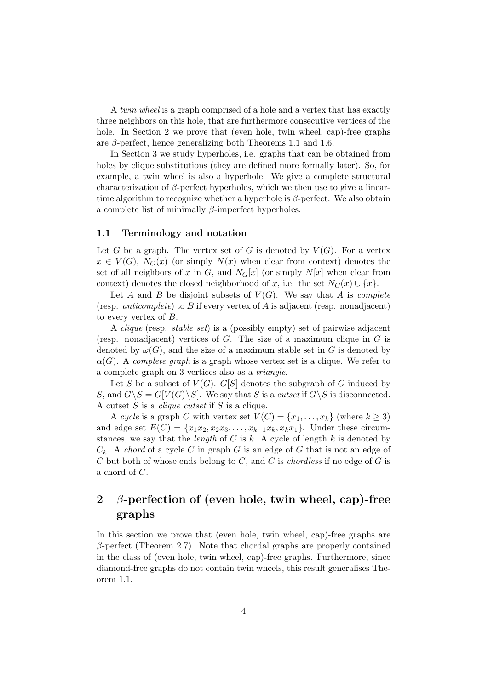A twin wheel is a graph comprised of a hole and a vertex that has exactly three neighbors on this hole, that are furthermore consecutive vertices of the hole. In Section 2 we prove that (even hole, twin wheel, cap)-free graphs are  $\beta$ -perfect, hence generalizing both Theorems 1.1 and 1.6.

In Section 3 we study hyperholes, i.e. graphs that can be obtained from holes by clique substitutions (they are defined more formally later). So, for example, a twin wheel is also a hyperhole. We give a complete structural characterization of  $\beta$ -perfect hyperholes, which we then use to give a lineartime algorithm to recognize whether a hyperhole is  $\beta$ -perfect. We also obtain a complete list of minimally β-imperfect hyperholes.

#### 1.1 Terminology and notation

Let G be a graph. The vertex set of G is denoted by  $V(G)$ . For a vertex  $x \in V(G)$ ,  $N_G(x)$  (or simply  $N(x)$  when clear from context) denotes the set of all neighbors of x in G, and  $N_G[x]$  (or simply  $N[x]$  when clear from context) denotes the closed neighborhood of x, i.e. the set  $N_G(x) \cup \{x\}$ .

Let A and B be disjoint subsets of  $V(G)$ . We say that A is *complete* (resp. *anticomplete*) to B if every vertex of A is adjacent (resp. nonadjacent) to every vertex of B.

A clique (resp. stable set) is a (possibly empty) set of pairwise adjacent (resp. nonadjacent) vertices of  $G$ . The size of a maximum clique in  $G$  is denoted by  $\omega(G)$ , and the size of a maximum stable set in G is denoted by  $\alpha(G)$ . A complete graph is a graph whose vertex set is a clique. We refer to a complete graph on 3 vertices also as a triangle.

Let S be a subset of  $V(G)$ . G[S] denotes the subgraph of G induced by S, and  $G \backslash S = G[V(G) \backslash S]$ . We say that S is a cutset if  $G \backslash S$  is disconnected. A cutset S is a clique cutset if S is a clique.

A cycle is a graph C with vertex set  $V(C) = \{x_1, \ldots, x_k\}$  (where  $k \geq 3$ ) and edge set  $E(C) = \{x_1x_2, x_2x_3, \ldots, x_{k-1}x_k, x_kx_1\}$ . Under these circumstances, we say that the *length* of  $C$  is  $k$ . A cycle of length  $k$  is denoted by  $C_k$ . A *chord* of a cycle C in graph G is an edge of G that is not an edge of C but both of whose ends belong to C, and C is *chordless* if no edge of G is a chord of C.

## 2 β-perfection of (even hole, twin wheel, cap)-free graphs

In this section we prove that (even hole, twin wheel, cap)-free graphs are  $\beta$ -perfect (Theorem 2.7). Note that chordal graphs are properly contained in the class of (even hole, twin wheel, cap)-free graphs. Furthermore, since diamond-free graphs do not contain twin wheels, this result generalises Theorem 1.1.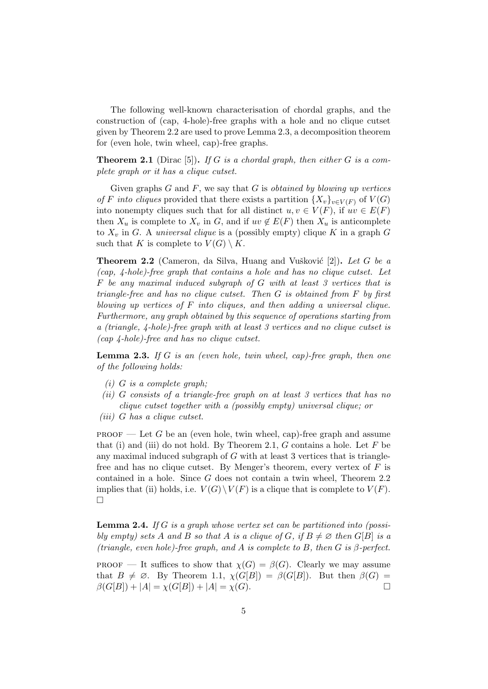The following well-known characterisation of chordal graphs, and the construction of (cap, 4-hole)-free graphs with a hole and no clique cutset given by Theorem 2.2 are used to prove Lemma 2.3, a decomposition theorem for (even hole, twin wheel, cap)-free graphs.

**Theorem 2.1** (Dirac [5]). If G is a chordal graph, then either G is a complete graph or it has a clique cutset.

Given graphs  $G$  and  $F$ , we say that  $G$  is *obtained by blowing up vertices* of F into cliques provided that there exists a partition  $\{X_v\}_{v\in V(F)}$  of  $V(G)$ into nonempty cliques such that for all distinct  $u, v \in V(F)$ , if  $uv \in E(F)$ then  $X_u$  is complete to  $X_v$  in G, and if  $uv \notin E(F)$  then  $X_u$  is anticomplete to  $X_v$  in G. A *universal clique* is a (possibly empty) clique K in a graph G such that K is complete to  $V(G) \setminus K$ .

**Theorem 2.2** (Cameron, da Silva, Huang and Vušković [2]). Let G be a (cap, 4-hole)-free graph that contains a hole and has no clique cutset. Let  $F$  be any maximal induced subgraph of  $G$  with at least 3 vertices that is triangle-free and has no clique cutset. Then G is obtained from F by first blowing up vertices of  $F$  into cliques, and then adding a universal clique. Furthermore, any graph obtained by this sequence of operations starting from a (triangle, 4-hole)-free graph with at least 3 vertices and no clique cutset is (cap 4-hole)-free and has no clique cutset.

**Lemma 2.3.** If G is an (even hole, twin wheel, cap)-free graph, then one of the following holds:

- $(i)$  G is a complete graph;
- (ii) G consists of a triangle-free graph on at least 3 vertices that has no clique cutset together with a (possibly empty) universal clique; or
- (iii) G has a clique cutset.

 $PROOF$  — Let G be an (even hole, twin wheel, cap)-free graph and assume that (i) and (iii) do not hold. By Theorem 2.1, G contains a hole. Let  $F$  be any maximal induced subgraph of  $G$  with at least 3 vertices that is trianglefree and has no clique cutset. By Menger's theorem, every vertex of  $F$  is contained in a hole. Since G does not contain a twin wheel, Theorem 2.2 implies that (ii) holds, i.e.  $V(G) \backslash V(F)$  is a clique that is complete to  $V(F)$ .  $\Box$ 

**Lemma 2.4.** If G is a graph whose vertex set can be partitioned into (possibly empty) sets A and B so that A is a clique of G, if  $B \neq \emptyset$  then  $G[B]$  is a (triangle, even hole)-free graph, and A is complete to B, then G is  $\beta$ -perfect.

PROOF — It suffices to show that  $\chi(G) = \beta(G)$ . Clearly we may assume that  $B \neq \emptyset$ . By Theorem 1.1,  $\chi(G[B]) = \beta(G[B])$ . But then  $\beta(G)$  =  $\beta(G[B]) + |A| = \chi(G[B]) + |A| = \chi(G).$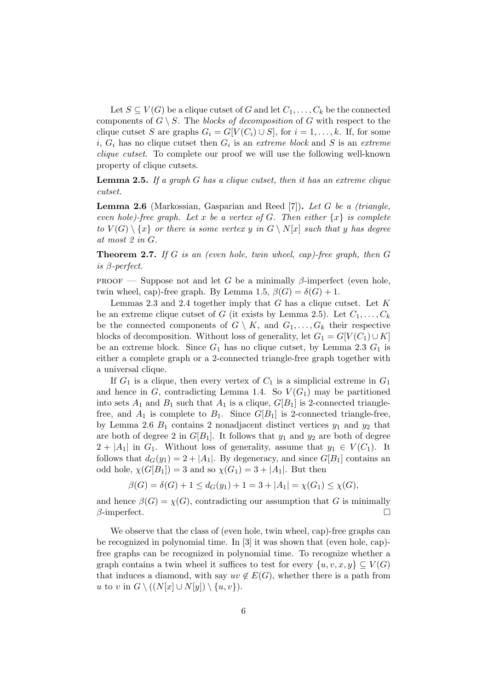Let  $S \subseteq V(G)$  be a clique cutset of G and let  $C_1, \ldots, C_k$  be the connected components of  $G \setminus S$ . The blocks of decomposition of G with respect to the clique cutset S are graphs  $G_i = G[V(C_i) \cup S]$ , for  $i = 1, ..., k$ . If, for some  $i, G_i$  has no clique cutset then  $G_i$  is an extreme block and S is an extreme clique cutset. To complete our proof we will use the following well-known property of clique cutsets.

**Lemma 2.5.** If a graph  $G$  has a clique cutset, then it has an extreme clique cutset.

**Lemma 2.6** (Markossian, Gasparian and Reed [7]). Let G be a *(triangle,* even hole)-free graph. Let x be a vertex of G. Then either  $\{x\}$  is complete to  $V(G) \setminus \{x\}$  or there is some vertex y in  $G \setminus N[x]$  such that y has degree at most 2 in G.

**Theorem 2.7.** If G is an (even hole, twin wheel, cap)-free graph, then  $G$ is β-perfect.

PROOF — Suppose not and let G be a minimally  $\beta$ -imperfect (even hole, twin wheel, cap)-free graph. By Lemma 1.5,  $\beta(G) = \delta(G) + 1$ .

Lemmas 2.3 and 2.4 together imply that G has a clique cutset. Let K be an extreme clique cutset of G (it exists by Lemma 2.5). Let  $C_1, \ldots, C_k$ be the connected components of  $G \setminus K$ , and  $G_1, \ldots, G_k$  their respective blocks of decomposition. Without loss of generality, let  $G_1 = G[V(C_1) \cup K]$ be an extreme block. Since  $G_1$  has no clique cutset, by Lemma 2.3  $G_1$  is either a complete graph or a 2-connected triangle-free graph together with a universal clique.

If  $G_1$  is a clique, then every vertex of  $C_1$  is a simplicial extreme in  $G_1$ and hence in G, contradicting Lemma 1.4. So  $V(G_1)$  may be partitioned into sets  $A_1$  and  $B_1$  such that  $A_1$  is a clique,  $G[B_1]$  is 2-connected trianglefree, and  $A_1$  is complete to  $B_1$ . Since  $G[B_1]$  is 2-connected triangle-free, by Lemma 2.6  $B_1$  contains 2 nonadjacent distinct vertices  $y_1$  and  $y_2$  that are both of degree 2 in  $G[B_1]$ . It follows that  $y_1$  and  $y_2$  are both of degree  $2 + |A_1|$  in  $G_1$ . Without loss of generality, assume that  $y_1 \in V(C_1)$ . It follows that  $d_G(y_1) = 2 + |A_1|$ . By degeneracy, and since  $G[B_1]$  contains an odd hole,  $\chi(G[B_1]) = 3$  and so  $\chi(G_1) = 3 + |A_1|$ . But then

$$
\beta(G) = \delta(G) + 1 \le d_G(y_1) + 1 = 3 + |A_1| = \chi(G_1) \le \chi(G),
$$

and hence  $\beta(G) = \chi(G)$ , contradicting our assumption that G is minimally  $\beta$ -imperfect.

We observe that the class of (even hole, twin wheel, cap)-free graphs can be recognized in polynomial time. In [3] it was shown that (even hole, cap) free graphs can be recognized in polynomial time. To recognize whether a graph contains a twin wheel it suffices to test for every  $\{u, v, x, y\} \subseteq V(G)$ that induces a diamond, with say  $uv \notin E(G)$ , whether there is a path from u to v in  $G \setminus ((N[x] \cup N[y]) \setminus \{u, v\}).$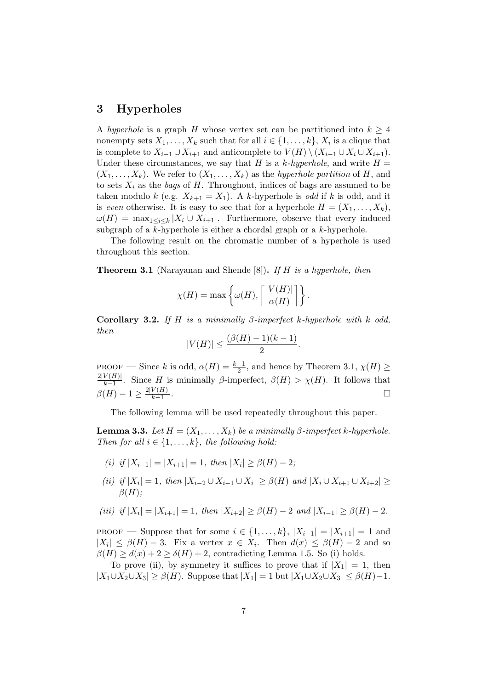## 3 Hyperholes

A hyperhole is a graph H whose vertex set can be partitioned into  $k \geq 4$ nonempty sets  $X_1, \ldots, X_k$  such that for all  $i \in \{1, \ldots, k\}, X_i$  is a clique that is complete to  $X_{i-1} \cup X_{i+1}$  and anticomplete to  $V(H) \setminus (X_{i-1} \cup X_i \cup X_{i+1}).$ Under these circumstances, we say that H is a k-hyperhole, and write  $H =$  $(X_1, \ldots, X_k)$ . We refer to  $(X_1, \ldots, X_k)$  as the *hyperhole partition* of H, and to sets  $X_i$  as the bags of H. Throughout, indices of bags are assumed to be taken modulo k (e.g.  $X_{k+1} = X_1$ ). A k-hyperhole is *odd* if k is odd, and it is even otherwise. It is easy to see that for a hyperhole  $H = (X_1, \ldots, X_k)$ ,  $\omega(H) = \max_{1 \leq i \leq k} |X_i \cup X_{i+1}|$ . Furthermore, observe that every induced subgraph of a k-hyperhole is either a chordal graph or a k-hyperhole.

The following result on the chromatic number of a hyperhole is used throughout this section.

**Theorem 3.1** (Narayanan and Shende [8]). If H is a hyperhole, then

$$
\chi(H) = \max \left\{ \omega(H), \left\lceil \frac{|V(H)|}{\alpha(H)} \right\rceil \right\}.
$$

Corollary 3.2. If H is a minimally  $\beta$ -imperfect k-hyperhole with k odd, then

$$
|V(H)| \le \frac{(\beta(H) - 1)(k - 1)}{2}.
$$

PROOF — Since k is odd,  $\alpha(H) = \frac{k-1}{2}$ , and hence by Theorem 3.1,  $\chi(H) \ge$  $2|V(H)|$  $\frac{\mathcal{V}(H)}{k-1}$ . Since H is minimally  $\beta$ -imperfect,  $\beta(H) > \chi(H)$ . It follows that  $\beta(H) - 1 \geq \frac{2|V(H)|}{k-1}$  $k-1$ .

The following lemma will be used repeatedly throughout this paper.

**Lemma 3.3.** Let  $H = (X_1, \ldots, X_k)$  be a minimally  $\beta$ -imperfect k-hyperhole. Then for all  $i \in \{1, \ldots, k\}$ , the following hold:

- (i) if  $|X_{i-1}| = |X_{i+1}| = 1$ , then  $|X_i| \ge \beta(H) 2$ ;
- (ii) if  $|X_i| = 1$ , then  $|X_{i-2} \cup X_{i-1} \cup X_i| \geq \beta(H)$  and  $|X_i \cup X_{i+1} \cup X_{i+2}| \geq$  $\beta(H);$

(iii) if 
$$
|X_i| = |X_{i+1}| = 1
$$
, then  $|X_{i+2}| \ge \beta(H) - 2$  and  $|X_{i-1}| \ge \beta(H) - 2$ .

**PROOF** — Suppose that for some  $i \in \{1, ..., k\}$ ,  $|X_{i-1}| = |X_{i+1}| = 1$  and  $|X_i| \leq \beta(H) - 3$ . Fix a vertex  $x \in X_i$ . Then  $d(x) \leq \beta(H) - 2$  and so  $\beta(H) \geq d(x) + 2 \geq \delta(H) + 2$ , contradicting Lemma 1.5. So (i) holds.

To prove (ii), by symmetry it suffices to prove that if  $|X_1| = 1$ , then  $|X_1 \cup X_2 \cup X_3| \ge \beta(H)$ . Suppose that  $|X_1| = 1$  but  $|X_1 \cup X_2 \cup X_3| \le \beta(H) - 1$ .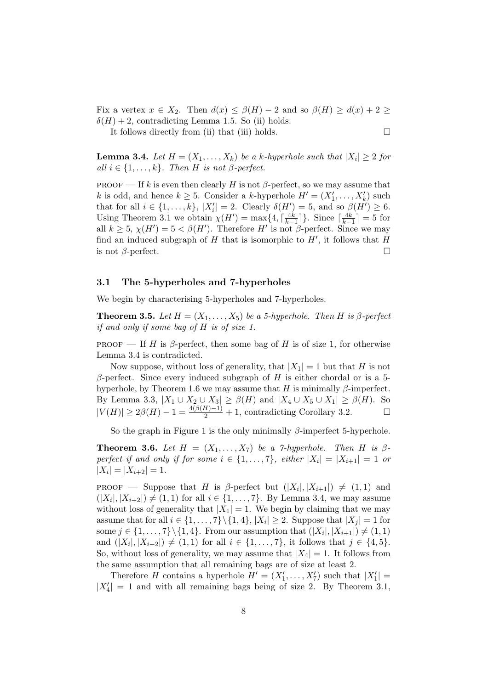Fix a vertex  $x \in X_2$ . Then  $d(x) \leq \beta(H) - 2$  and so  $\beta(H) \geq d(x) + 2 \geq$  $\delta(H) + 2$ , contradicting Lemma 1.5. So (ii) holds.

It follows directly from (ii) that (iii) holds.  $\Box$ 

**Lemma 3.4.** Let  $H = (X_1, \ldots, X_k)$  be a k-hyperhole such that  $|X_i| \geq 2$  for all  $i \in \{1, \ldots, k\}$ . Then H is not  $\beta$ -perfect.

PROOF — If k is even then clearly H is not  $\beta$ -perfect, so we may assume that k is odd, and hence  $k \geq 5$ . Consider a k-hyperhole  $H' = (X'_1, \ldots, X'_k)$  such that for all  $i \in \{1, \ldots, k\}, |X'_i| = 2$ . Clearly  $\delta(H') = 5$ , and so  $\beta(H') \ge 6$ . Using Theorem 3.1 we obtain  $\chi(H') = \max\{4, \lceil \frac{4k}{k-1} \rceil\}$ . Since  $\lceil \frac{4k}{k-1} \rceil = 5$  for all  $k \geq 5$ ,  $\chi(H') = 5 < \beta(H')$ . Therefore H' is not  $\beta$ -perfect. Since we may find an induced subgraph of  $H$  that is isomorphic to  $H'$ , it follows that  $H$ is not  $\beta$ -perfect.

#### 3.1 The 5-hyperholes and 7-hyperholes

We begin by characterising 5-hyperholes and 7-hyperholes.

**Theorem 3.5.** Let  $H = (X_1, \ldots, X_5)$  be a 5-hyperhole. Then H is  $\beta$ -perfect if and only if some bag of H is of size 1.

PROOF — If H is  $\beta$ -perfect, then some bag of H is of size 1, for otherwise Lemma 3.4 is contradicted.

Now suppose, without loss of generality, that  $|X_1| = 1$  but that H is not  $β$ -perfect. Since every induced subgraph of H is either chordal or is a 5hyperhole, by Theorem 1.6 we may assume that H is minimally  $\beta$ -imperfect. By Lemma 3.3,  $|X_1 \cup X_2 \cup X_3| \ge \beta(H)$  and  $|X_4 \cup X_5 \cup X_1| \ge \beta(H)$ . So  $|V(H)| \geq 2\beta(H) - 1 = \frac{4(\beta(H)-1)}{2} + 1$ , contradicting Corollary 3.2.

So the graph in Figure 1 is the only minimally  $\beta$ -imperfect 5-hyperhole.

**Theorem 3.6.** Let  $H = (X_1, \ldots, X_7)$  be a 7-hyperhole. Then H is  $\beta$ perfect if and only if for some  $i \in \{1, \ldots, 7\}$ , either  $|X_i| = |X_{i+1}| = 1$  or  $|X_i| = |X_{i+2}| = 1.$ 

PROOF — Suppose that H is  $\beta$ -perfect but  $(|X_i|, |X_{i+1}|) \neq (1, 1)$  and  $(|X_i|, |X_{i+2}|) \neq (1, 1)$  for all  $i \in \{1, ..., 7\}$ . By Lemma 3.4, we may assume without loss of generality that  $|X_1| = 1$ . We begin by claiming that we may assume that for all  $i \in \{1, \ldots, 7\} \setminus \{1, 4\}, |X_i| \geq 2$ . Suppose that  $|X_j| = 1$  for some  $j \in \{1, \ldots, 7\} \backslash \{1, 4\}$ . From our assumption that  $(|X_i|, |X_{i+1}|) \neq (1, 1)$ and  $(|X_i|, |X_{i+2}|) \neq (1, 1)$  for all  $i \in \{1, ..., 7\}$ , it follows that  $j \in \{4, 5\}$ . So, without loss of generality, we may assume that  $|X_4| = 1$ . It follows from the same assumption that all remaining bags are of size at least 2.

Therefore H contains a hyperhole  $H' = (X'_1, \ldots, X'_7)$  such that  $|X'_1|$  =  $|X_4'| = 1$  and with all remaining bags being of size 2. By Theorem 3.1,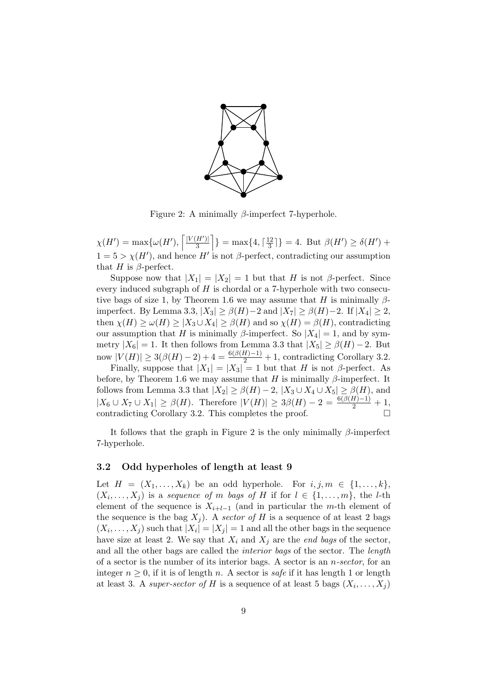

Figure 2: A minimally  $\beta$ -imperfect 7-hyperhole.

 $\chi(H') = \max\{\omega(H'), \left\lceil \frac{|V(H')|}{3} \right\rceil$  $\left[\frac{H'}{3}\right]$  = max $\{4, \lceil \frac{12}{3} \rceil\}$  $\frac{12}{3}$ ] = 4. But  $\beta(H') \ge \delta(H')$  +  $1 = 5 > \chi(H')$ , and hence H' is not  $\beta$ -perfect, contradicting our assumption that H is  $\beta$ -perfect.

Suppose now that  $|X_1| = |X_2| = 1$  but that H is not  $\beta$ -perfect. Since every induced subgraph of  $H$  is chordal or a 7-hyperhole with two consecutive bags of size 1, by Theorem 1.6 we may assume that H is minimally  $\beta$ imperfect. By Lemma 3.3,  $|X_3| \geq \beta(H) - 2$  and  $|X_7| \geq \beta(H) - 2$ . If  $|X_4| \geq 2$ , then  $\chi(H) \ge \omega(H) \ge |X_3 \cup X_4| \ge \beta(H)$  and so  $\chi(H) = \beta(H)$ , contradicting our assumption that H is minimally β-imperfect. So  $|X_4| = 1$ , and by symmetry  $|X_6| = 1$ . It then follows from Lemma 3.3 that  $|X_5| \ge \beta(H) - 2$ . But now  $|V(H)| \ge 3(\beta(H)-2) + 4 = \frac{6(\beta(H)-1)}{2} + 1$ , contradicting Corollary 3.2.

Finally, suppose that  $|X_1| = |X_3| = 1$  but that H is not  $\beta$ -perfect. As before, by Theorem 1.6 we may assume that H is minimally  $\beta$ -imperfect. It follows from Lemma 3.3 that  $|X_2| \geq \beta(H) - 2$ ,  $|X_3 \cup X_4 \cup X_5| \geq \beta(H)$ , and  $|X_6 \cup X_7 \cup X_1| \ge \beta(H)$ . Therefore  $|V(H)| \ge 3\beta(H) - 2 = \frac{6(\beta(H)-1)}{2} + 1$ , contradicting Corollary 3.2. This completes the proof.  $\Box$ 

It follows that the graph in Figure 2 is the only minimally  $\beta$ -imperfect 7-hyperhole.

#### 3.2 Odd hyperholes of length at least 9

Let  $H = (X_1, \ldots, X_k)$  be an odd hyperhole. For  $i, j, m \in \{1, \ldots, k\}$ ,  $(X_i, \ldots, X_j)$  is a sequence of m bags of H if for  $l \in \{1, \ldots, m\}$ , the *l*-th element of the sequence is  $X_{i+l-1}$  (and in particular the m-th element of the sequence is the bag  $X_j$ ). A sector of H is a sequence of at least 2 bags  $(X_i, \ldots, X_j)$  such that  $|X_i| = |X_j| = 1$  and all the other bags in the sequence have size at least 2. We say that  $X_i$  and  $X_j$  are the end bags of the sector, and all the other bags are called the interior bags of the sector. The length of a sector is the number of its interior bags. A sector is an  $n\text{-}sector$ , for an integer  $n \geq 0$ , if it is of length n. A sector is *safe* if it has length 1 or length at least 3. A super-sector of H is a sequence of at least 5 bags  $(X_i, \ldots, X_j)$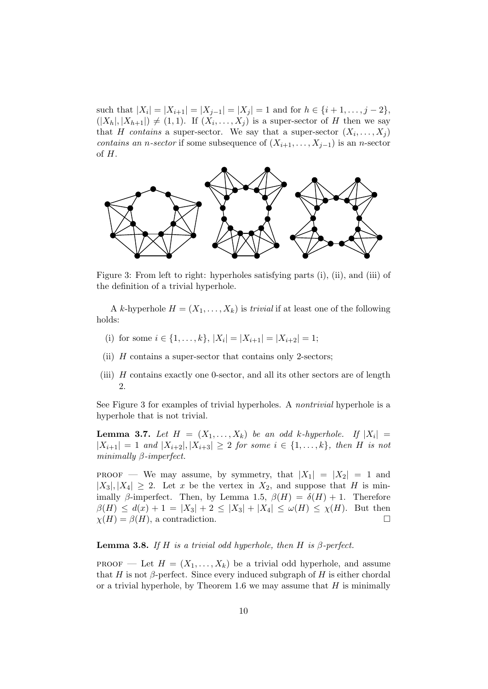such that  $|X_i| = |X_{i+1}| = |X_{j-1}| = |X_j| = 1$  and for  $h \in \{i+1, \ldots, j-2\}$ ,  $(|X_h|, |X_{h+1}|) \neq (1, 1)$ . If  $(X_i, \ldots, X_j)$  is a super-sector of H then we say that H contains a super-sector. We say that a super-sector  $(X_i, \ldots, X_j)$ contains an n-sector if some subsequence of  $(X_{i+1}, \ldots, X_{j-1})$  is an n-sector of H.



Figure 3: From left to right: hyperholes satisfying parts (i), (ii), and (iii) of the definition of a trivial hyperhole.

A k-hyperhole  $H = (X_1, \ldots, X_k)$  is *trivial* if at least one of the following holds:

- (i) for some  $i \in \{1, \ldots, k\}, |X_i| = |X_{i+1}| = |X_{i+2}| = 1;$
- (ii)  $H$  contains a super-sector that contains only 2-sectors;
- (iii) H contains exactly one 0-sector, and all its other sectors are of length 2.

See Figure 3 for examples of trivial hyperholes. A nontrivial hyperhole is a hyperhole that is not trivial.

**Lemma 3.7.** Let  $H = (X_1, \ldots, X_k)$  be an odd k-hyperhole. If  $|X_i|$  $|X_{i+1}| = 1$  and  $|X_{i+2}|, |X_{i+3}| \geq 2$  for some  $i \in \{1, ..., k\}$ , then H is not minimally β-imperfect.

**PROOF** — We may assume, by symmetry, that  $|X_1| = |X_2| = 1$  and  $|X_3|, |X_4| \geq 2$ . Let x be the vertex in  $X_2$ , and suppose that H is minimally β-imperfect. Then, by Lemma 1.5,  $\beta(H) = \delta(H) + 1$ . Therefore  $\beta(H) \leq d(x) + 1 = |X_3| + 2 \leq |X_3| + |X_4| \leq \omega(H) \leq \chi(H)$ . But then  $\chi(H) = \beta(H)$ , a contradiction.

#### **Lemma 3.8.** If H is a trivial odd hyperhole, then H is  $\beta$ -perfect.

PROOF — Let  $H = (X_1, \ldots, X_k)$  be a trivial odd hyperhole, and assume that H is not  $\beta$ -perfect. Since every induced subgraph of H is either chordal or a trivial hyperhole, by Theorem 1.6 we may assume that  $H$  is minimally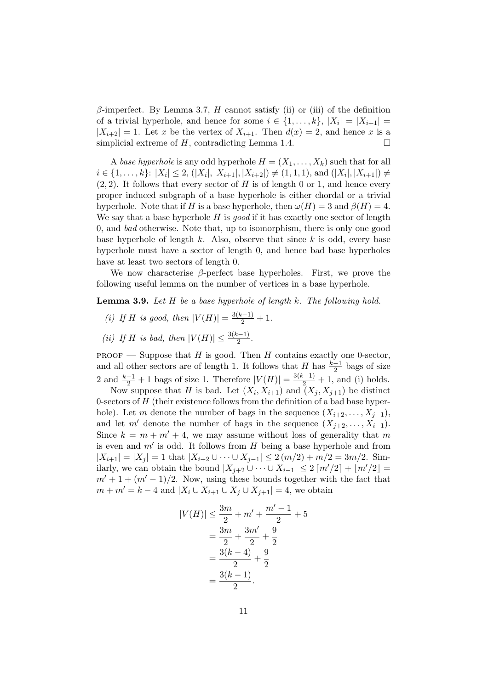$\beta$ -imperfect. By Lemma 3.7, H cannot satisfy (ii) or (iii) of the definition of a trivial hyperhole, and hence for some  $i \in \{1, \ldots, k\}$ ,  $|X_i| = |X_{i+1}| =$  $|X_{i+2}| = 1$ . Let x be the vertex of  $X_{i+1}$ . Then  $d(x) = 2$ , and hence x is a simplicial extreme of  $H$ , contradicting Lemma 1.4.

A base hyperhole is any odd hyperhole  $H = (X_1, \ldots, X_k)$  such that for all  $i \in \{1, \ldots, k\}$ :  $|X_i| \leq 2$ ,  $(|X_i|, |X_{i+1}|, |X_{i+2}|) \neq (1, 1, 1)$ , and  $(|X_i|, |X_{i+1}|) \neq$  $(2, 2)$ . It follows that every sector of H is of length 0 or 1, and hence every proper induced subgraph of a base hyperhole is either chordal or a trivial hyperhole. Note that if H is a base hyperhole, then  $\omega(H) = 3$  and  $\beta(H) = 4$ . We say that a base hyperhole  $H$  is good if it has exactly one sector of length 0, and bad otherwise. Note that, up to isomorphism, there is only one good base hyperhole of length  $k$ . Also, observe that since  $k$  is odd, every base hyperhole must have a sector of length 0, and hence bad base hyperholes have at least two sectors of length 0.

We now characterise  $\beta$ -perfect base hyperholes. First, we prove the following useful lemma on the number of vertices in a base hyperhole.

**Lemma 3.9.** Let  $H$  be a base hyperhole of length  $k$ . The following hold.

- (i) If H is good, then  $|V(H)| = \frac{3(k-1)}{2} + 1$ .
- (*ii*) If *H* is bad, then  $|V(H)| \le \frac{3(k-1)}{2}$ .

PROOF — Suppose that H is good. Then H contains exactly one 0-sector, and all other sectors are of length 1. It follows that  $H$  has  $\frac{k-1}{2}$  bags of size 2 and  $\frac{k-1}{2} + 1$  bags of size 1. Therefore  $|V(H)| = \frac{3(k-1)}{2} + 1$ , and (i) holds.

Now suppose that H is bad. Let  $(X_i, X_{i+1})$  and  $(X_j, X_{j+1})$  be distinct 0-sectors of  $H$  (their existence follows from the definition of a bad base hyperhole). Let m denote the number of bags in the sequence  $(X_{i+2}, \ldots, X_{i-1}),$ and let m<sup>'</sup> denote the number of bags in the sequence  $(X_{j+2}, \ldots, X_{i-1})$ . Since  $k = m + m' + 4$ , we may assume without loss of generality that m is even and  $m'$  is odd. It follows from  $H$  being a base hyperhole and from  $|X_{i+1}| = |X_j| = 1$  that  $|X_{i+2} \cup \cdots \cup X_{j-1}| \leq 2(m/2) + m/2 = 3m/2$ . Similarly, we can obtain the bound  $|X_{j+2} \cup \cdots \cup X_{i-1}| \leq 2 \lceil m'/2 \rceil + \lfloor m'/2 \rfloor =$  $m' + 1 + (m' - 1)/2$ . Now, using these bounds together with the fact that  $m + m' = k - 4$  and  $|X_i \cup X_{i+1} \cup X_j \cup X_{j+1}| = 4$ , we obtain

$$
|V(H)| \le \frac{3m}{2} + m' + \frac{m' - 1}{2} + 5
$$
  
=  $\frac{3m}{2} + \frac{3m'}{2} + \frac{9}{2}$   
=  $\frac{3(k-4)}{2} + \frac{9}{2}$   
=  $\frac{3(k-1)}{2}$ .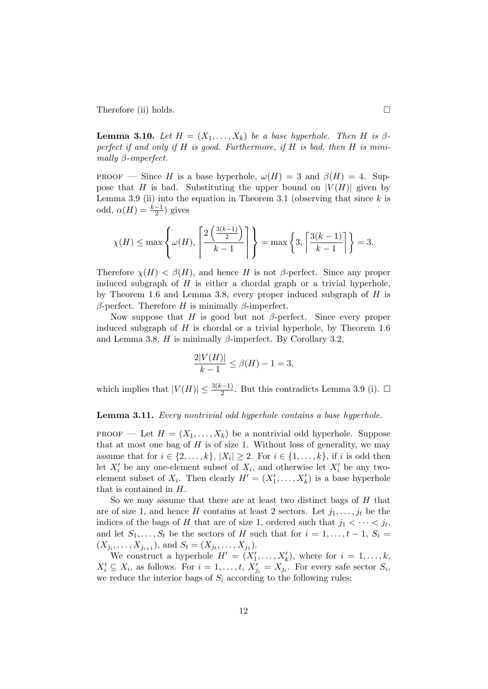Therefore (ii) holds.

**Lemma 3.10.** Let  $H = (X_1, \ldots, X_k)$  be a base hyperhole. Then H is  $\beta$ perfect if and only if  $H$  is good. Furthermore, if  $H$  is bad, then  $H$  is minimally β-imperfect.

**PROOF** — Since H is a base hyperhole,  $\omega(H) = 3$  and  $\beta(H) = 4$ . Suppose that H is bad. Substituting the upper bound on  $|V(H)|$  given by Lemma 3.9 (ii) into the equation in Theorem 3.1 (observing that since  $k$  is odd,  $\alpha(H) = \frac{k-1}{2}$ ) gives

$$
\chi(H) \le \max\left\{\omega(H), \left\lceil \frac{2\left(\frac{3(k-1)}{2}\right)}{k-1} \right\rceil \right\} = \max\left\{3, \left\lceil \frac{3(k-1)}{k-1} \right\rceil \right\} = 3.
$$

Therefore  $\chi(H) < \beta(H)$ , and hence H is not  $\beta$ -perfect. Since any proper induced subgraph of  $H$  is either a chordal graph or a trivial hyperhole, by Theorem 1.6 and Lemma 3.8, every proper induced subgraph of  $H$  is β-perfect. Therefore H is minimally β-imperfect.

Now suppose that H is good but not  $\beta$ -perfect. Since every proper induced subgraph of  $H$  is chordal or a trivial hyperhole, by Theorem 1.6 and Lemma 3.8, H is minimally  $\beta$ -imperfect. By Corollary 3.2,

$$
\frac{2|V(H)|}{k-1} \le \beta(H) - 1 = 3,
$$

which implies that  $|V(H)| \leq \frac{3(k-1)}{2}$ . But this contradicts Lemma 3.9 (i).  $\Box$ 

#### Lemma 3.11. Every nontrivial odd hyperhole contains a base hyperhole.

**PROOF** — Let  $H = (X_1, \ldots, X_k)$  be a nontrivial odd hyperhole. Suppose that at most one bag of  $H$  is of size 1. Without loss of generality, we may assume that for  $i \in \{2, \ldots, k\}, |X_i| \geq 2$ . For  $i \in \{1, \ldots, k\},$  if i is odd then let  $X_i'$  be any one-element subset of  $X_i$ , and otherwise let  $X_i'$  be any twoelement subset of  $X_i$ . Then clearly  $H' = (X'_1, \ldots, X'_k)$  is a base hyperhole that is contained in H.

So we may assume that there are at least two distinct bags of H that are of size 1, and hence H contains at least 2 sectors. Let  $j_1, \ldots, j_t$  be the indices of the bags of H that are of size 1, ordered such that  $j_1 < \cdots < j_t$ , and let  $S_1, \ldots, S_t$  be the sectors of H such that for  $i = 1, \ldots, t - 1, S_i =$  $(X_{j_i}, \ldots, X_{j_{i+1}}),$  and  $S_t = (X_{j_t}, \ldots, X_{j_1}).$ 

We construct a hyperhole  $H' = (X'_1, \ldots, X'_k)$ , where for  $i = 1, \ldots, k$ ,  $X'_i \subseteq X_i$ , as follows. For  $i = 1, \ldots, t$ ,  $X'_{j_i} = X_{j_i}$ . For every safe sector  $S_i$ , we reduce the interior bags of  $S_i$  according to the following rules: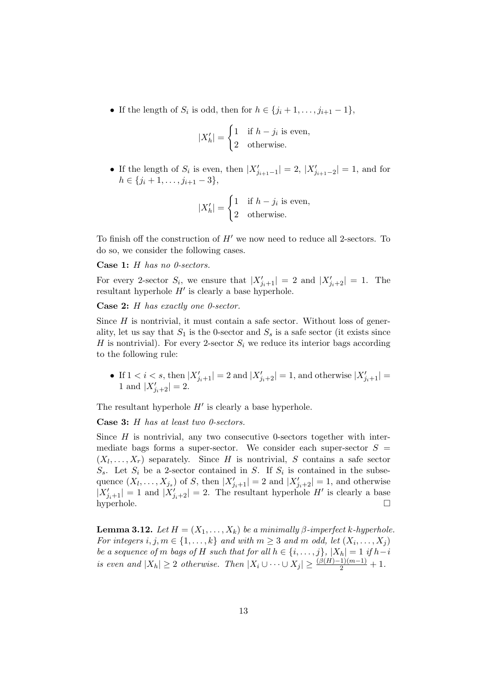• If the length of  $S_i$  is odd, then for  $h \in \{j_i+1,\ldots,j_{i+1}-1\}$ ,

$$
|X'_h| = \begin{cases} 1 & \text{if } h - j_i \text{ is even,} \\ 2 & \text{otherwise.} \end{cases}
$$

• If the length of  $S_i$  is even, then  $|X'_{j_{i+1}-1}| = 2, |X'_{j_{i+1}-2}| = 1$ , and for  $h \in \{j_i+1, \ldots, j_{i+1}-3\},\$ 

$$
|X'_h| = \begin{cases} 1 & \text{if } h - j_i \text{ is even,} \\ 2 & \text{otherwise.} \end{cases}
$$

To finish off the construction of  $H'$  we now need to reduce all 2-sectors. To do so, we consider the following cases.

Case 1: H has no 0-sectors.

For every 2-sector  $S_i$ , we ensure that  $|X'_{j_i+1}| = 2$  and  $|X'_{j_i+2}| = 1$ . The resultant hyperhole  $H'$  is clearly a base hyperhole.

Case 2: H has exactly one 0-sector.

Since  $H$  is nontrivial, it must contain a safe sector. Without loss of generality, let us say that  $S_1$  is the 0-sector and  $S_s$  is a safe sector (it exists since H is nontrivial). For every 2-sector  $S_i$  we reduce its interior bags according to the following rule:

• If  $1 < i < s$ , then  $|X'_{j_i+1}| = 2$  and  $|X'_{j_i+2}| = 1$ , and otherwise  $|X'_{j_i+1}| =$ 1 and  $|X'_{j_i+2}| = 2$ .

The resultant hyperhole  $H'$  is clearly a base hyperhole.

Case 3: H has at least two 0-sectors.

Since  $H$  is nontrivial, any two consecutive 0-sectors together with intermediate bags forms a super-sector. We consider each super-sector  $S =$  $(X_l, \ldots, X_r)$  separately. Since H is nontrivial, S contains a safe sector  $S_s$ . Let  $S_i$  be a 2-sector contained in S. If  $S_i$  is contained in the subsequence  $(X_l, \ldots, X_{j_s})$  of S, then  $|X'_{j_i+1}| = 2$  and  $|X'_{j_i+2}| = 1$ , and otherwise  $|X'_{j_i+1}| = 1$  and  $|X'_{j_i+2}| = 2$ . The resultant hyperhole H' is clearly a base  $\Box$ hyperhole.  $\Box$ 

**Lemma 3.12.** Let  $H = (X_1, \ldots, X_k)$  be a minimally  $\beta$ -imperfect k-hyperhole. For integers  $i, j, m \in \{1, \ldots, k\}$  and with  $m \geq 3$  and  $m$  odd, let  $(X_i, \ldots, X_j)$ be a sequence of m bags of H such that for all  $h \in \{i, \ldots, j\}$ ,  $|X_h| = 1$  if  $h-i$ is even and  $|X_h| \geq 2$  otherwise. Then  $|X_i \cup \cdots \cup X_j| \geq \frac{(\beta(H)-1)(m-1)}{2} + 1$ .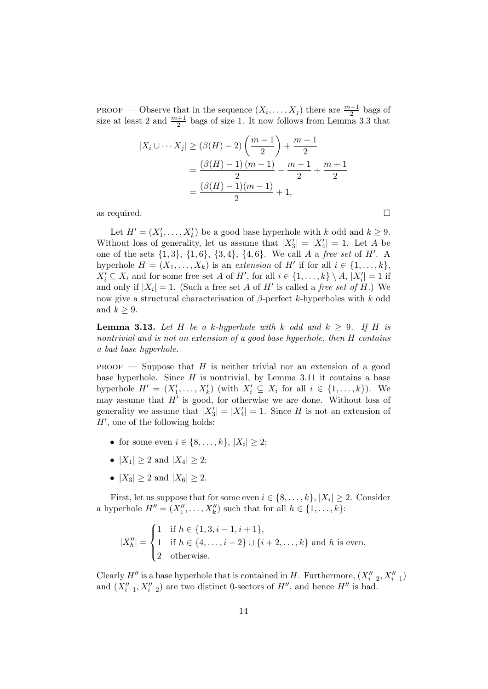PROOF — Observe that in the sequence  $(X_i, \ldots, X_j)$  there are  $\frac{m-1}{2}$  bags of size at least 2 and  $\frac{m+1}{2}$  bags of size 1. It now follows from Lemma 3.3 that

$$
|X_i \cup \cdots X_j| \ge (\beta(H) - 2) \left(\frac{m-1}{2}\right) + \frac{m+1}{2}
$$
  
=  $\frac{(\beta(H) - 1)(m-1)}{2} - \frac{m-1}{2} + \frac{m+1}{2}$   
=  $\frac{(\beta(H) - 1)(m-1)}{2} + 1$ ,

as required.  $\Box$ 

Let  $H' = (X'_1, \ldots, X'_k)$  be a good base hyperhole with k odd and  $k \geq 9$ . Without loss of generality, let us assume that  $|X'_3| = |X'_4| = 1$ . Let A be one of the sets  $\{1,3\}$ ,  $\{1,6\}$ ,  $\{3,4\}$ ,  $\{4,6\}$ . We call A a free set of H'. A hyperhole  $H = (X_1, \ldots, X_k)$  is an extension of H' if for all  $i \in \{1, \ldots, k\}$ ,  $X'_{i} \subseteq X_{i}$  and for some free set A of H', for all  $i \in \{1, ..., k\} \setminus A$ ,  $|X'_{i}| = 1$  if and only if  $|X_i| = 1$ . (Such a free set A of H' is called a free set of H.) We now give a structural characterisation of  $\beta$ -perfect k-hyperholes with k odd and  $k \geq 9$ .

**Lemma 3.13.** Let H be a k-hyperhole with k odd and  $k \geq 9$ . If H is nontrivial and is not an extension of a good base hyperhole, then H contains a bad base hyperhole.

**PROOF** — Suppose that  $H$  is neither trivial nor an extension of a good base hyperhole. Since  $H$  is nontrivial, by Lemma 3.11 it contains a base hyperhole  $H' = (X'_1, \ldots, X'_k)$  (with  $X'_i \subseteq X_i$  for all  $i \in \{1, \ldots, k\}$ ). We may assume that  $H'$  is good, for otherwise we are done. Without loss of generality we assume that  $|X'_3| = |X'_4| = 1$ . Since H is not an extension of  $H'$ , one of the following holds:

- for some even  $i \in \{8, ..., k\}, |X_i| \geq 2;$
- $|X_1| > 2$  and  $|X_4| > 2$ ;
- $|X_3| \ge 2$  and  $|X_6| \ge 2$ .

First, let us suppose that for some even  $i \in \{8, \ldots, k\}, |X_i| \geq 2$ . Consider a hyperhole  $H'' = (X_1'', \ldots, X_k'')$  such that for all  $h \in \{1, \ldots, k\}$ :

$$
|X''_h| = \begin{cases} 1 & \text{if } h \in \{1, 3, i-1, i+1\}, \\ 1 & \text{if } h \in \{4, \dots, i-2\} \cup \{i+2, \dots, k\} \text{ and } h \text{ is even,} \\ 2 & \text{otherwise.} \end{cases}
$$

Clearly  $H''$  is a base hyperhole that is contained in H. Furthermore,  $(X''_{i-2}, X''_{i-1})$ and  $(X_{i+1}''', X_{i+2}'')$  are two distinct 0-sectors of  $H''$ , and hence  $H''$  is bad.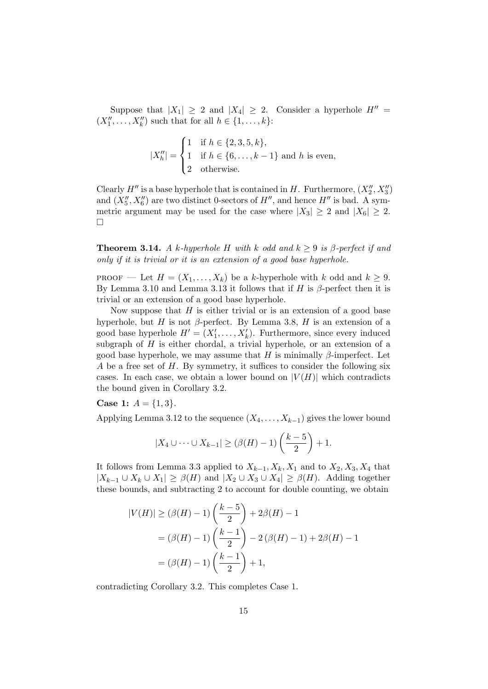Suppose that  $|X_1| \geq 2$  and  $|X_4| \geq 2$ . Consider a hyperhole  $H'' =$  $(X''_1, ..., X''_k)$  such that for all  $h \in \{1, ..., k\}$ :

$$
|X''_h| = \begin{cases} 1 & \text{if } h \in \{2, 3, 5, k\}, \\ 1 & \text{if } h \in \{6, \dots, k - 1\} \text{ and } h \text{ is even,} \\ 2 & \text{otherwise.} \end{cases}
$$

Clearly  $H''$  is a base hyperhole that is contained in H. Furthermore,  $(X_2'', X_3'')$ and  $(X''_5, X''_6)$  are two distinct 0-sectors of  $H''$ , and hence  $H''$  is bad. A symmetric argument may be used for the case where  $|X_3| > 2$  and  $|X_6| > 2$ .  $\Box$ 

**Theorem 3.14.** A k-hyperhole H with k odd and  $k \geq 9$  is  $\beta$ -perfect if and only if it is trivial or it is an extension of a good base hyperhole.

**PROOF** — Let  $H = (X_1, \ldots, X_k)$  be a k-hyperhole with k odd and  $k \geq 9$ . By Lemma 3.10 and Lemma 3.13 it follows that if H is  $\beta$ -perfect then it is trivial or an extension of a good base hyperhole.

Now suppose that  $H$  is either trivial or is an extension of a good base hyperhole, but H is not  $\beta$ -perfect. By Lemma 3.8, H is an extension of a good base hyperhole  $H' = (X'_1, \ldots, X'_k)$ . Furthermore, since every induced subgraph of  $H$  is either chordal, a trivial hyperhole, or an extension of a good base hyperhole, we may assume that H is minimally  $\beta$ -imperfect. Let A be a free set of  $H$ . By symmetry, it suffices to consider the following six cases. In each case, we obtain a lower bound on  $|V(H)|$  which contradicts the bound given in Corollary 3.2.

**Case 1:**  $A = \{1, 3\}.$ 

Applying Lemma 3.12 to the sequence  $(X_4, \ldots, X_{k-1})$  gives the lower bound

$$
|X_4 \cup \cdots \cup X_{k-1}| \geq (\beta(H) - 1)\left(\frac{k-5}{2}\right) + 1.
$$

It follows from Lemma 3.3 applied to  $X_{k-1}$ ,  $X_k$ ,  $X_1$  and to  $X_2$ ,  $X_3$ ,  $X_4$  that  $|X_{k-1} \cup X_k \cup X_1| \geq \beta(H)$  and  $|X_2 \cup X_3 \cup X_4| \geq \beta(H)$ . Adding together these bounds, and subtracting 2 to account for double counting, we obtain

$$
|V(H)| \ge (\beta(H) - 1) \left(\frac{k-5}{2}\right) + 2\beta(H) - 1
$$
  
=  $(\beta(H) - 1) \left(\frac{k-1}{2}\right) - 2(\beta(H) - 1) + 2\beta(H) - 1$   
=  $(\beta(H) - 1) \left(\frac{k-1}{2}\right) + 1,$ 

contradicting Corollary 3.2. This completes Case 1.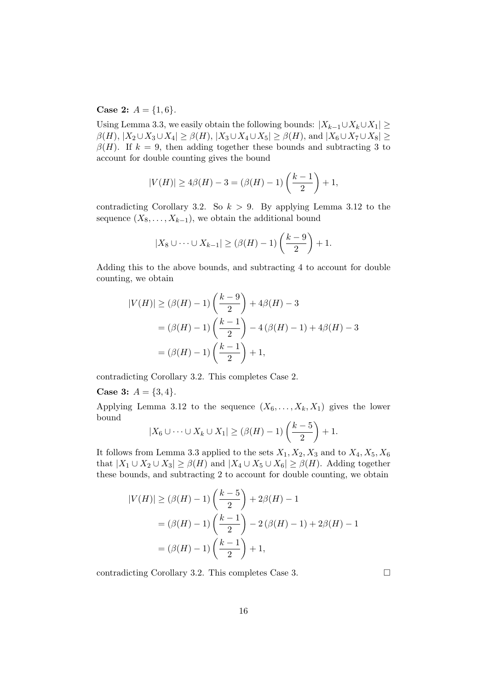**Case 2:**  $A = \{1, 6\}.$ 

Using Lemma 3.3, we easily obtain the following bounds:  $|X_{k-1}\cup X_k\cup X_1|\geq$  $\beta(H)$ ,  $|X_2 \cup X_3 \cup X_4| \geq \beta(H)$ ,  $|X_3 \cup X_4 \cup X_5| \geq \beta(H)$ , and  $|X_6 \cup X_7 \cup X_8| \geq$  $\beta(H)$ . If  $k = 9$ , then adding together these bounds and subtracting 3 to account for double counting gives the bound

$$
|V(H)| \ge 4\beta(H) - 3 = (\beta(H) - 1)\left(\frac{k-1}{2}\right) + 1,
$$

contradicting Corollary 3.2. So  $k > 9$ . By applying Lemma 3.12 to the sequence  $(X_8, \ldots, X_{k-1})$ , we obtain the additional bound

$$
|X_8 \cup \cdots \cup X_{k-1}| \geq (\beta(H) - 1)\left(\frac{k-9}{2}\right) + 1.
$$

Adding this to the above bounds, and subtracting 4 to account for double counting, we obtain

$$
|V(H)| \ge (\beta(H) - 1) \left(\frac{k-9}{2}\right) + 4\beta(H) - 3
$$
  
=  $(\beta(H) - 1) \left(\frac{k-1}{2}\right) - 4(\beta(H) - 1) + 4\beta(H) - 3$   
=  $(\beta(H) - 1) \left(\frac{k-1}{2}\right) + 1,$ 

contradicting Corollary 3.2. This completes Case 2.

#### **Case 3:**  $A = \{3, 4\}.$

Applying Lemma 3.12 to the sequence  $(X_6, \ldots, X_k, X_1)$  gives the lower bound  $\sim$ 

$$
|X_6 \cup \cdots \cup X_k \cup X_1| \geq (\beta(H) - 1)\left(\frac{k-5}{2}\right) + 1.
$$

It follows from Lemma 3.3 applied to the sets  $X_1, X_2, X_3$  and to  $X_4, X_5, X_6$ that  $|X_1 \cup X_2 \cup X_3| \ge \beta(H)$  and  $|X_4 \cup X_5 \cup X_6| \ge \beta(H)$ . Adding together these bounds, and subtracting 2 to account for double counting, we obtain

$$
|V(H)| \ge (\beta(H) - 1) \left(\frac{k-5}{2}\right) + 2\beta(H) - 1
$$
  
=  $(\beta(H) - 1) \left(\frac{k-1}{2}\right) - 2(\beta(H) - 1) + 2\beta(H) - 1$   
=  $(\beta(H) - 1) \left(\frac{k-1}{2}\right) + 1$ ,

contradicting Corollary 3.2. This completes Case 3.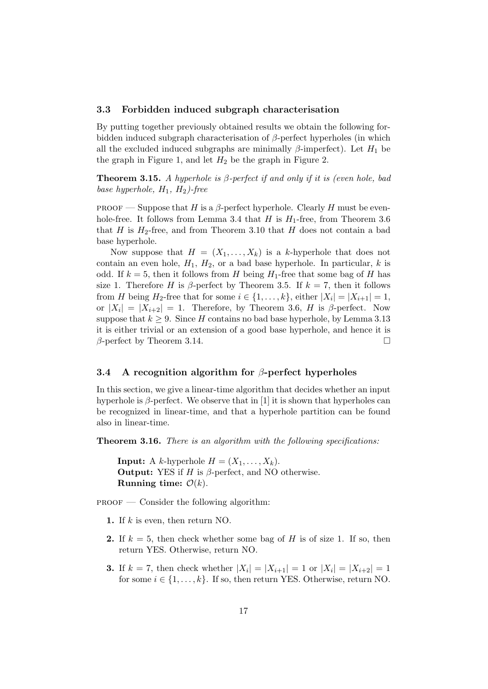#### 3.3 Forbidden induced subgraph characterisation

By putting together previously obtained results we obtain the following forbidden induced subgraph characterisation of  $\beta$ -perfect hyperholes (in which all the excluded induced subgraphs are minimally  $\beta$ -imperfect). Let  $H_1$  be the graph in Figure 1, and let  $H_2$  be the graph in Figure 2.

**Theorem 3.15.** A hyperhole is  $\beta$ -perfect if and only if it is (even hole, bad base hyperhole,  $H_1$ ,  $H_2$ )-free

PROOF — Suppose that H is a  $\beta$ -perfect hyperhole. Clearly H must be evenhole-free. It follows from Lemma 3.4 that H is  $H_1$ -free, from Theorem 3.6 that H is  $H_2$ -free, and from Theorem 3.10 that H does not contain a bad base hyperhole.

Now suppose that  $H = (X_1, \ldots, X_k)$  is a k-hyperhole that does not contain an even hole,  $H_1$ ,  $H_2$ , or a bad base hyperhole. In particular, k is odd. If  $k = 5$ , then it follows from H being  $H_1$ -free that some bag of H has size 1. Therefore H is  $\beta$ -perfect by Theorem 3.5. If  $k = 7$ , then it follows from H being  $H_2$ -free that for some  $i \in \{1, \ldots, k\}$ , either  $|X_i| = |X_{i+1}| = 1$ , or  $|X_i| = |X_{i+2}| = 1$ . Therefore, by Theorem 3.6, H is  $\beta$ -perfect. Now suppose that  $k \geq 9$ . Since H contains no bad base hyperhole, by Lemma 3.13 it is either trivial or an extension of a good base hyperhole, and hence it is  $\beta$ -perfect by Theorem 3.14.

## 3.4 A recognition algorithm for  $\beta$ -perfect hyperholes

In this section, we give a linear-time algorithm that decides whether an input hyperhole is  $\beta$ -perfect. We observe that in [1] it is shown that hyperholes can be recognized in linear-time, and that a hyperhole partition can be found also in linear-time.

**Theorem 3.16.** There is an algorithm with the following specifications:

**Input:** A k-hyperhole  $H = (X_1, \ldots, X_k)$ . **Output:** YES if  $H$  is  $\beta$ -perfect, and NO otherwise. Running time:  $\mathcal{O}(k)$ .

 $PROOF$  — Consider the following algorithm:

- 1. If  $k$  is even, then return NO.
- **2.** If  $k = 5$ , then check whether some bag of H is of size 1. If so, then return YES. Otherwise, return NO.
- **3.** If  $k = 7$ , then check whether  $|X_i| = |X_{i+1}| = 1$  or  $|X_i| = |X_{i+2}| = 1$ for some  $i \in \{1, \ldots, k\}$ . If so, then return YES. Otherwise, return NO.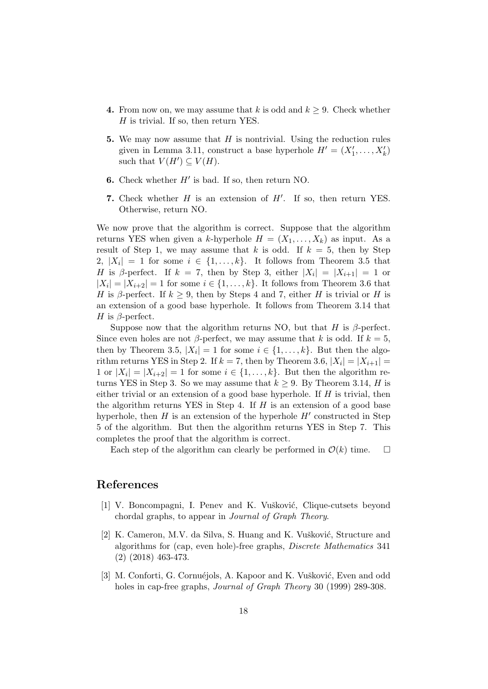- 4. From now on, we may assume that k is odd and  $k \geq 9$ . Check whether H is trivial. If so, then return YES.
- 5. We may now assume that  $H$  is nontrivial. Using the reduction rules given in Lemma 3.11, construct a base hyperhole  $H' = (X'_1, \ldots, X'_k)$ such that  $V(H') \subseteq V(H)$ .
- 6. Check whether  $H'$  is bad. If so, then return NO.
- 7. Check whether  $H$  is an extension of  $H'$ . If so, then return YES. Otherwise, return NO.

We now prove that the algorithm is correct. Suppose that the algorithm returns YES when given a k-hyperhole  $H = (X_1, \ldots, X_k)$  as input. As a result of Step 1, we may assume that k is odd. If  $k = 5$ , then by Step 2,  $|X_i| = 1$  for some  $i \in \{1, ..., k\}$ . It follows from Theorem 3.5 that H is  $\beta$ -perfect. If  $k = 7$ , then by Step 3, either  $|X_i| = |X_{i+1}| = 1$  or  $|X_i| = |X_{i+2}| = 1$  for some  $i \in \{1, \ldots, k\}$ . It follows from Theorem 3.6 that H is β-perfect. If  $k \geq 9$ , then by Steps 4 and 7, either H is trivial or H is an extension of a good base hyperhole. It follows from Theorem 3.14 that H is  $\beta$ -perfect.

Suppose now that the algorithm returns NO, but that H is  $\beta$ -perfect. Since even holes are not  $\beta$ -perfect, we may assume that k is odd. If  $k = 5$ , then by Theorem 3.5,  $|X_i| = 1$  for some  $i \in \{1, ..., k\}$ . But then the algorithm returns YES in Step 2. If  $k = 7$ , then by Theorem 3.6,  $|X_i| = |X_{i+1}| =$ 1 or  $|X_i| = |X_{i+2}| = 1$  for some  $i \in \{1, ..., k\}$ . But then the algorithm returns YES in Step 3. So we may assume that  $k \geq 9$ . By Theorem 3.14, H is either trivial or an extension of a good base hyperhole. If  $H$  is trivial, then the algorithm returns YES in Step 4. If  $H$  is an extension of a good base hyperhole, then  $H$  is an extension of the hyperhole  $H'$  constructed in Step 5 of the algorithm. But then the algorithm returns YES in Step 7. This completes the proof that the algorithm is correct.

Each step of the algorithm can clearly be performed in  $\mathcal{O}(k)$  time.  $\Box$ 

## References

- [1] V. Boncompagni, I. Penev and K. Vušković, Clique-cutsets beyond chordal graphs, to appear in Journal of Graph Theory.
- [2] K. Cameron, M.V. da Silva, S. Huang and K. Vušković, Structure and algorithms for (cap, even hole)-free graphs, Discrete Mathematics 341 (2) (2018) 463-473.
- [3] M. Conforti, G. Cornuéjols, A. Kapoor and K. Vušković, Even and odd holes in cap-free graphs, Journal of Graph Theory 30 (1999) 289-308.